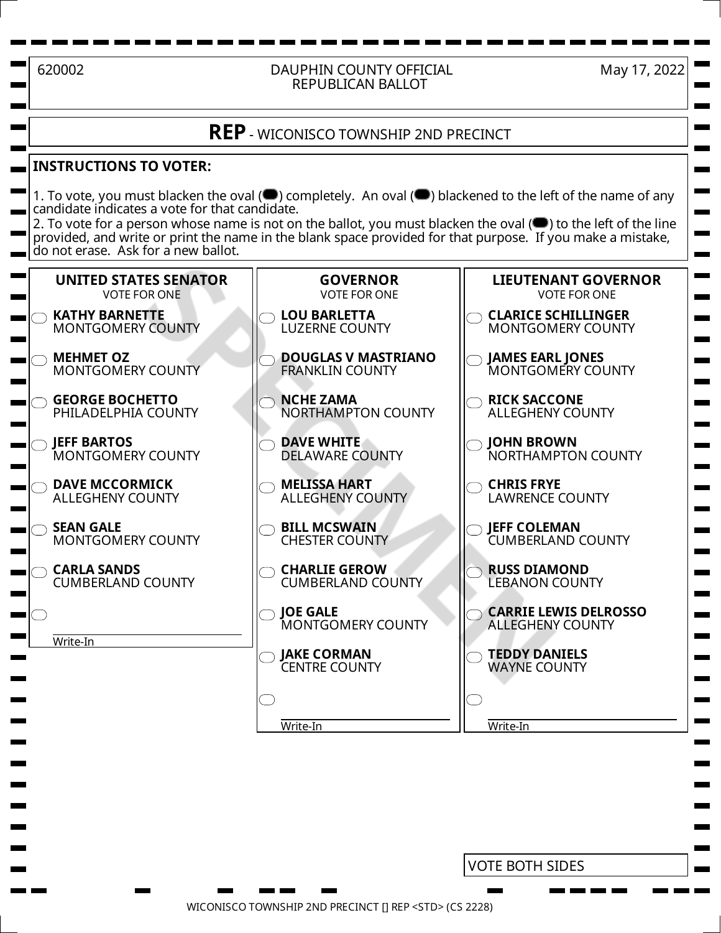## 620002 DAUPHIN COUNTY OFFICIAL REPUBLICAN BALLOT

May 17, 2022

## **REP**- WICONISCO TOWNSHIP 2ND PRECINCT

## **INSTRUCTIONS TO VOTER:**

1. To vote, you must blacken the oval ( $\blacksquare$ ) completely. An oval ( $\blacksquare$ ) blackened to the left of the name of any candidate indicates a vote for that candidate.

2. To vote for a person whose name is not on the ballot, you must blacken the oval  $($ **)** to the left of the line provided, and write or print the name in the blank space provided for that purpose. If you make a mistake, do not erase. Ask for a new ballot.



VOTE BOTH SIDES